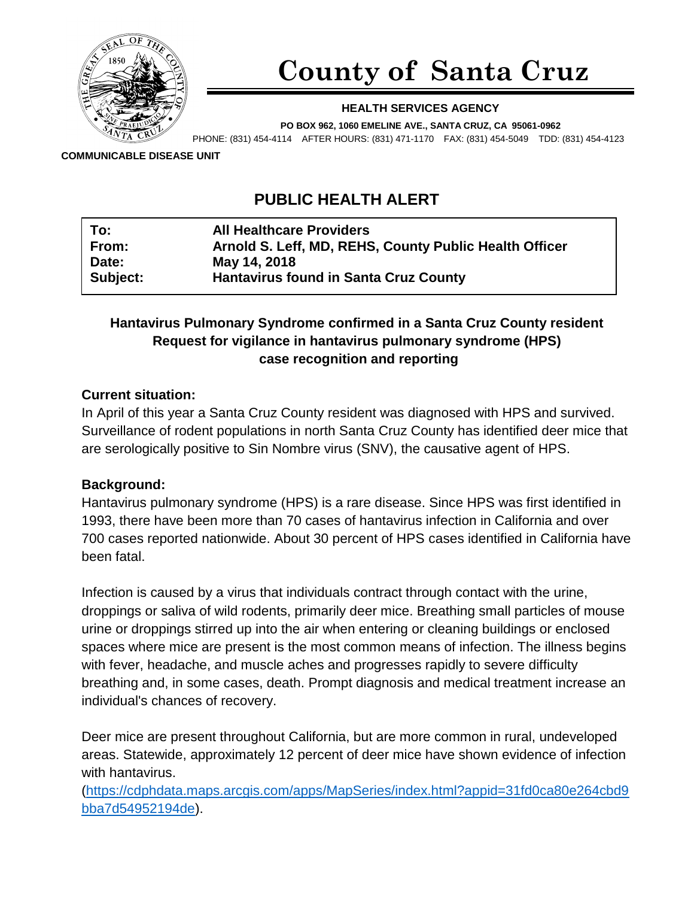

# **County of Santa Cruz**

#### **HEALTH SERVICES AGENCY**

**PO BOX 962, 1060 EMELINE AVE., SANTA CRUZ, CA 95061-0962** PHONE: (831) 454-4114 AFTER HOURS: (831) 471-1170 FAX: (831) 454-5049 TDD: (831) 454-4123

**COMMUNICABLE DISEASE UNIT**

# **PUBLIC HEALTH ALERT**

| To:      | <b>All Healthcare Providers</b>                        |
|----------|--------------------------------------------------------|
| From:    | Arnold S. Leff, MD, REHS, County Public Health Officer |
| Date:    | May 14, 2018                                           |
| Subject: | <b>Hantavirus found in Santa Cruz County</b>           |

# **Hantavirus Pulmonary Syndrome confirmed in a Santa Cruz County resident Request for vigilance in hantavirus pulmonary syndrome (HPS) case recognition and reporting**

#### **Current situation:**

In April of this year a Santa Cruz County resident was diagnosed with HPS and survived. Surveillance of rodent populations in north Santa Cruz County has identified deer mice that are serologically positive to Sin Nombre virus (SNV), the causative agent of HPS.

#### **Background:**

Hantavirus pulmonary syndrome (HPS) is a rare disease. Since HPS was first identified in 1993, there have been more than 70 cases of hantavirus infection in California and over 700 cases reported nationwide. About 30 percent of HPS cases identified in California have been fatal.

Infection is caused by a virus that individuals contract through contact with the urine, droppings or saliva of wild rodents, primarily deer mice. Breathing small particles of mouse urine or droppings stirred up into the air when entering or cleaning buildings or enclosed spaces where mice are present is the most common means of infection. The illness begins with fever, headache, and muscle aches and progresses rapidly to severe difficulty breathing and, in some cases, death. Prompt diagnosis and medical treatment increase an individual's chances of recovery.

Deer mice are present throughout California, but are more common in rural, undeveloped areas. Statewide, approximately 12 percent of deer mice have shown evidence of infection with hantavirus.

[\(https://cdphdata.maps.arcgis.com/apps/MapSeries/index.html?appid=31fd0ca80e264cbd9](https://cdphdata.maps.arcgis.com/apps/MapSeries/index.html?appid=31fd0ca80e264cbd9bba7d54952194de) [bba7d54952194de\)](https://cdphdata.maps.arcgis.com/apps/MapSeries/index.html?appid=31fd0ca80e264cbd9bba7d54952194de).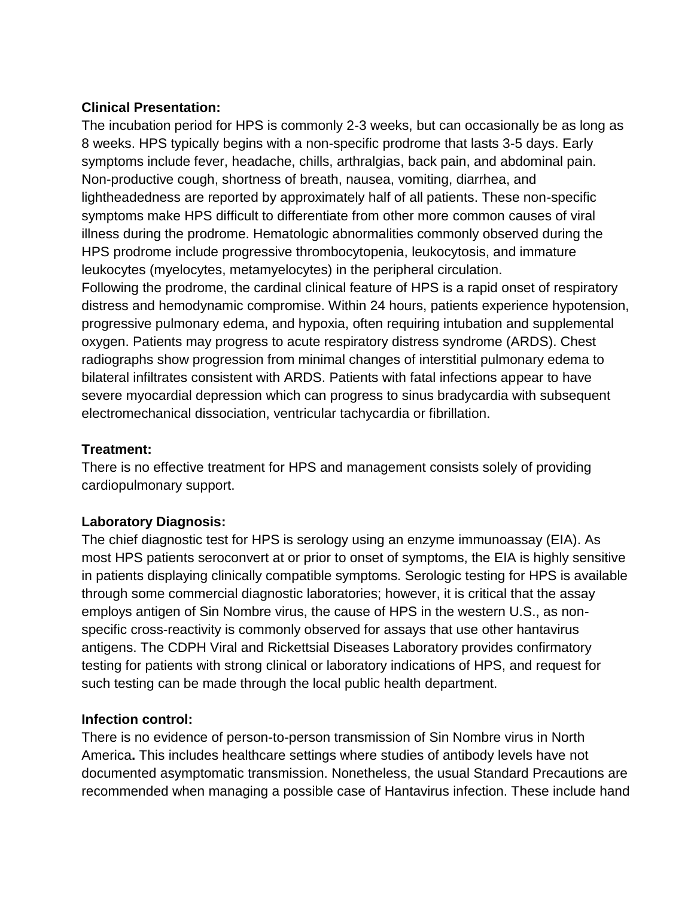#### **Clinical Presentation:**

The incubation period for HPS is commonly 2-3 weeks, but can occasionally be as long as 8 weeks. HPS typically begins with a non-specific prodrome that lasts 3-5 days. Early symptoms include fever, headache, chills, arthralgias, back pain, and abdominal pain. Non-productive cough, shortness of breath, nausea, vomiting, diarrhea, and lightheadedness are reported by approximately half of all patients. These non-specific symptoms make HPS difficult to differentiate from other more common causes of viral illness during the prodrome. Hematologic abnormalities commonly observed during the HPS prodrome include progressive thrombocytopenia, leukocytosis, and immature leukocytes (myelocytes, metamyelocytes) in the peripheral circulation. Following the prodrome, the cardinal clinical feature of HPS is a rapid onset of respiratory

distress and hemodynamic compromise. Within 24 hours, patients experience hypotension, progressive pulmonary edema, and hypoxia, often requiring intubation and supplemental oxygen. Patients may progress to acute respiratory distress syndrome (ARDS). Chest radiographs show progression from minimal changes of interstitial pulmonary edema to bilateral infiltrates consistent with ARDS. Patients with fatal infections appear to have severe myocardial depression which can progress to sinus bradycardia with subsequent electromechanical dissociation, ventricular tachycardia or fibrillation.

## **Treatment:**

There is no effective treatment for HPS and management consists solely of providing cardiopulmonary support.

# **Laboratory Diagnosis:**

The chief diagnostic test for HPS is serology using an enzyme immunoassay (EIA). As most HPS patients seroconvert at or prior to onset of symptoms, the EIA is highly sensitive in patients displaying clinically compatible symptoms. Serologic testing for HPS is available through some commercial diagnostic laboratories; however, it is critical that the assay employs antigen of Sin Nombre virus, the cause of HPS in the western U.S., as nonspecific cross-reactivity is commonly observed for assays that use other hantavirus antigens. The CDPH Viral and Rickettsial Diseases Laboratory provides confirmatory testing for patients with strong clinical or laboratory indications of HPS, and request for such testing can be made through the local public health department.

# **Infection control:**

There is no evidence of person-to-person transmission of Sin Nombre virus in North America**.** This includes healthcare settings where studies of antibody levels have not documented asymptomatic transmission. Nonetheless, the usual Standard Precautions are recommended when managing a possible case of Hantavirus infection. These include hand